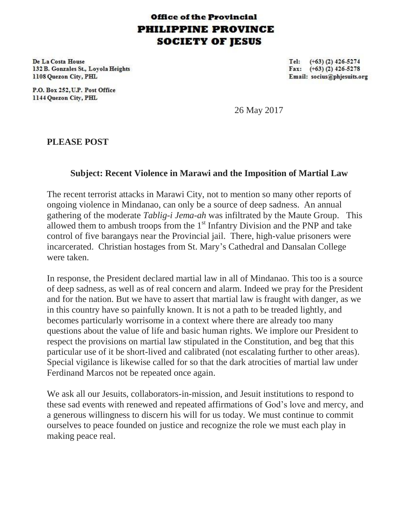## **Office of the Provincial PHILIPPINE PROVINCE SOCIETY OF JESUS**

De La Costa House 132 B. Gonzales St., Lovola Heights 1108 Quezon City, PHL

P.O. Box 252, U.P. Post Office 1144 Quezon City, PHL

Tel:  $(+63)$  (2) 426-5274 Fax:  $(+63)$  (2) 426-5278 Email: socius@phjesuits.org

26 May 2017

**PLEASE POST**

## **Subject: Recent Violence in Marawi and the Imposition of Martial Law**

The recent terrorist attacks in Marawi City, not to mention so many other reports of ongoing violence in Mindanao, can only be a source of deep sadness. An annual gathering of the moderate *Tablig-i Jema-ah* was infiltrated by the Maute Group. This allowed them to ambush troops from the  $1<sup>st</sup>$  Infantry Division and the PNP and take control of five barangays near the Provincial jail. There, high-value prisoners were incarcerated. Christian hostages from St. Mary's Cathedral and Dansalan College were taken.

In response, the President declared martial law in all of Mindanao. This too is a source of deep sadness, as well as of real concern and alarm. Indeed we pray for the President and for the nation. But we have to assert that martial law is fraught with danger, as we in this country have so painfully known. It is not a path to be treaded lightly, and becomes particularly worrisome in a context where there are already too many questions about the value of life and basic human rights. We implore our President to respect the provisions on martial law stipulated in the Constitution, and beg that this particular use of it be short-lived and calibrated (not escalating further to other areas). Special vigilance is likewise called for so that the dark atrocities of martial law under Ferdinand Marcos not be repeated once again.

We ask all our Jesuits, collaborators-in-mission, and Jesuit institutions to respond to these sad events with renewed and repeated affirmations of God's love and mercy, and a generous willingness to discern his will for us today. We must continue to commit ourselves to peace founded on justice and recognize the role we must each play in making peace real.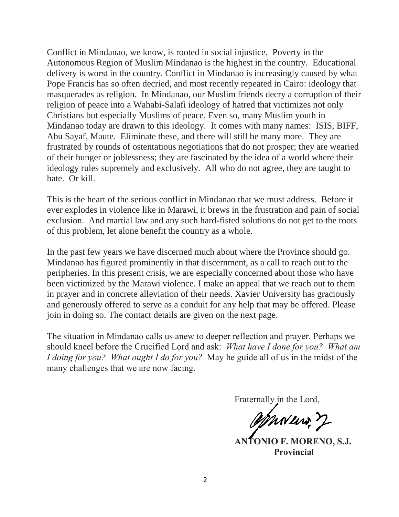Conflict in Mindanao, we know, is rooted in social injustice. Poverty in the Autonomous Region of Muslim Mindanao is the highest in the country. Educational delivery is worst in the country. Conflict in Mindanao is increasingly caused by what Pope Francis has so often decried, and most recently repeated in Cairo: ideology that masquerades as religion. In Mindanao, our Muslim friends decry a corruption of their religion of peace into a Wahabi-Salafi ideology of hatred that victimizes not only Christians but especially Muslims of peace. Even so, many Muslim youth in Mindanao today are drawn to this ideology. It comes with many names: ISIS, BIFF, Abu Sayaf, Maute. Eliminate these, and there will still be many more. They are frustrated by rounds of ostentatious negotiations that do not prosper; they are wearied of their hunger or joblessness; they are fascinated by the idea of a world where their ideology rules supremely and exclusively. All who do not agree, they are taught to hate. Or kill.

This is the heart of the serious conflict in Mindanao that we must address. Before it ever explodes in violence like in Marawi, it brews in the frustration and pain of social exclusion. And martial law and any such hard-fisted solutions do not get to the roots of this problem, let alone benefit the country as a whole.

In the past few years we have discerned much about where the Province should go. Mindanao has figured prominently in that discernment, as a call to reach out to the peripheries. In this present crisis, we are especially concerned about those who have been victimized by the Marawi violence. I make an appeal that we reach out to them in prayer and in concrete alleviation of their needs. Xavier University has graciously and generously offered to serve as a conduit for any help that may be offered. Please join in doing so. The contact details are given on the next page.

The situation in Mindanao calls us anew to deeper reflection and prayer. Perhaps we should kneel before the Crucified Lord and ask: *What have I done for you? What am I doing for you? What ought I do for you?* May he guide all of us in the midst of the many challenges that we are now facing.

Fraternally in the Lord,

OphNew, 7

**ANTONIO F. MORENO, S.J. Provincial**